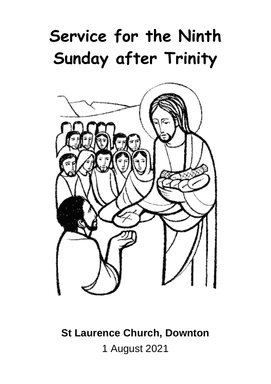# **Service for the Ninth Sunday after Trinity**



**St Laurence Church, Downton** 1 August 2021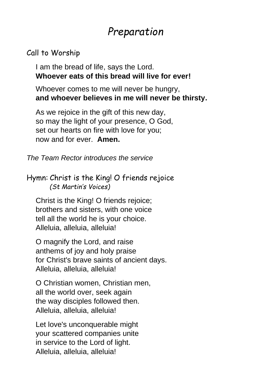## *Preparation*

### Call to Worship

I am the bread of life, says the Lord. **Whoever eats of this bread will live for ever!**

Whoever comes to me will never be hungry, **and whoever believes in me will never be thirsty.**

As we rejoice in the gift of this new day, so may the light of your presence, O God, set our hearts on fire with love for you; now and for ever. **Amen.**

*The Team Rector introduces the service*

### Hymn: Christ is the King! O friends rejoice *(St Martin's Voices)*

Christ is the King! O friends rejoice; brothers and sisters, with one voice tell all the world he is your choice. Alleluia, alleluia, alleluia!

O magnify the Lord, and raise anthems of joy and holy praise for Christ's brave saints of ancient days. Alleluia, alleluia, alleluia!

O Christian women, Christian men, all the world over, seek again the way disciples followed then. Alleluia, alleluia, alleluia!

Let love's unconquerable might your scattered companies unite in service to the Lord of light. Alleluia, alleluia, alleluia!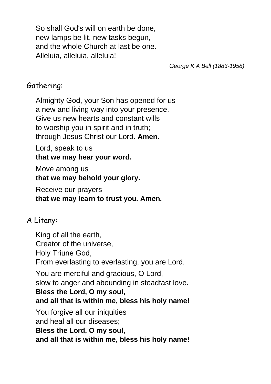So shall God's will on earth be done, new lamps be lit, new tasks begun, and the whole Church at last be one. Alleluia, alleluia, alleluia!

*George K A Bell (1883-1958)*

### Gathering:

Almighty God, your Son has opened for us a new and living way into your presence. Give us new hearts and constant wills to worship you in spirit and in truth; through Jesus Christ our Lord. **Amen.**

Lord, speak to us **that we may hear your word.**

Move among us **that we may behold your glory.**

Receive our prayers **that we may learn to trust you. Amen.**

### A Litany:

King of all the earth, Creator of the universe, Holy Triune God, From everlasting to everlasting, you are Lord. You are merciful and gracious, O Lord, slow to anger and abounding in steadfast love. **Bless the Lord, O my soul, and all that is within me, bless his holy name!** You forgive all our iniquities and heal all our diseases; **Bless the Lord, O my soul, and all that is within me, bless his holy name!**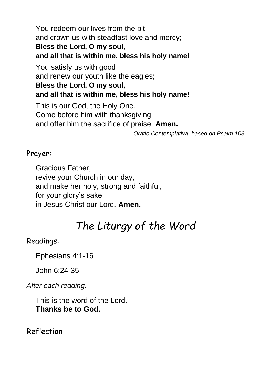You redeem our lives from the pit and crown us with steadfast love and mercy; **Bless the Lord, O my soul, and all that is within me, bless his holy name!** You satisfy us with good and renew our youth like the eagles; **Bless the Lord, O my soul, and all that is within me, bless his holy name!** This is our God, the Holy One. Come before him with thanksgiving and offer him the sacrifice of praise. **Amen.** *Oratio Contemplativa, based on Psalm 103*

#### Prayer:

Gracious Father, revive your Church in our day, and make her holy, strong and faithful, for your glory's sake in Jesus Christ our Lord. **Amen.**

# *The Liturgy of the Word*

### Readings:

Ephesians 4:1-16

John 6:24-35

*After each reading:*

This is the word of the Lord. **Thanks be to God.**

Reflection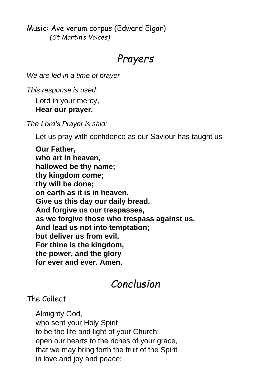Music: Ave verum corpus (Edward Elgar) *(St Martin's Voices)*

### *Prayers*

*We are led in a time of prayer*

*This response is used:*

Lord in your mercy,

#### **Hear our prayer.**

*The Lord's Prayer is said:*

Let us pray with confidence as our Saviour has taught us

**Our Father, who art in heaven, hallowed be thy name; thy kingdom come; thy will be done; on earth as it is in heaven. Give us this day our daily bread. And forgive us our trespasses, as we forgive those who trespass against us. And lead us not into temptation; but deliver us from evil. For thine is the kingdom, the power, and the glory for ever and ever. Amen.**

### *Conclusion*

### The Collect

Almighty God, who sent your Holy Spirit to be the life and light of your Church: open our hearts to the riches of your grace, that we may bring forth the fruit of the Spirit in love and joy and peace;